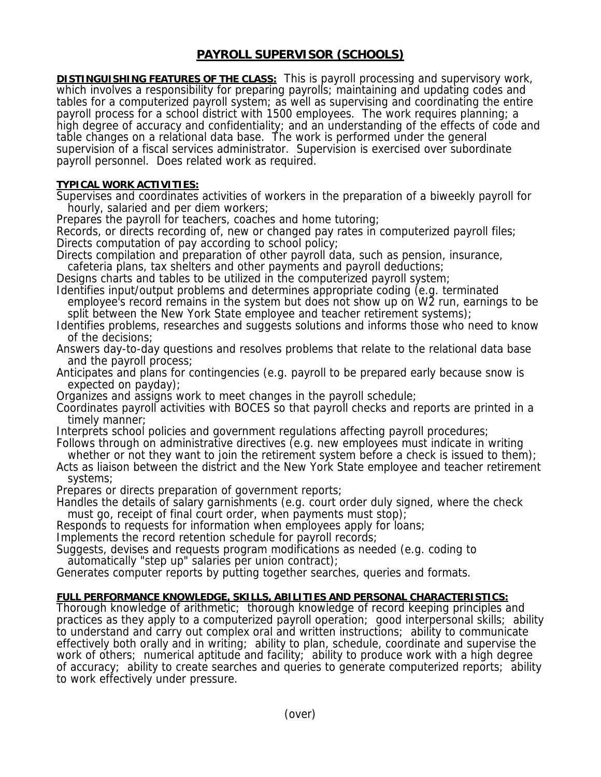## **PAYROLL SUPERVISOR (SCHOOLS)**

**DISTINGUISHING FEATURES OF THE CLASS:** This is payroll processing and supervisory work, which involves a responsibility for preparing payrolls; maintaining and updating codes and tables for a computerized payroll system; as well as supervising and coordinating the entire payroll process for a school district with 1500 employees. The work requires planning; a high degree of accuracy and confidentiality; and an understanding of the effects of code and table changes on a relational data base. The work is performed under the general supervision of a fiscal services administrator. Supervision is exercised over subordinate payroll personnel. Does related work as required.

## **TYPICAL WORK ACTIVITIES:**

Supervises and coordinates activities of workers in the preparation of a biweekly payroll for hourly, salaried and per diem workers;

Prepares the payroll for teachers, coaches and home tutoring;

Records, or directs recording of, new or changed pay rates in computerized payroll files; Directs computation of pay according to school policy;

Directs compilation and preparation of other payroll data, such as pension, insurance, cafeteria plans, tax shelters and other payments and payroll deductions;

Designs charts and tables to be utilized in the computerized payroll system;

Identifies input/output problems and determines appropriate coding (e.g. terminated employee's record remains in the system but does not show up on W2 run, earnings to be split between the New York State employee and teacher retirement systems);

Identifies problems, researches and suggests solutions and informs those who need to know of the decisions;

Answers day-to-day questions and resolves problems that relate to the relational data base and the payroll process;

Anticipates and plans for contingencies (e.g. payroll to be prepared early because snow is expected on payday);

Organizes and assigns work to meet changes in the payroll schedule;

Coordinates payroll activities with BOCES so that payroll checks and reports are printed in a timely manner;

Interprets school policies and government regulations affecting payroll procedures;

Follows through on administrative directives (e.g. new employees must indicate in writing whether or not they want to join the retirement system before a check is issued to them);

Acts as liaison between the district and the New York State employee and teacher retirement systems;

Prepares or directs preparation of government reports;

Handles the details of salary garnishments (e.g. court order duly signed, where the check must go, receipt of final court order, when payments must stop);

Responds to requests for information when employees apply for loans;

Implements the record retention schedule for payroll records;

Suggests, devises and requests program modifications as needed (e.g. coding to automatically "step up" salaries per union contract);

Generates computer reports by putting together searches, queries and formats.

## **FULL PERFORMANCE KNOWLEDGE, SKILLS, ABILITIES AND PERSONAL CHARACTERISTICS:**

Thorough knowledge of arithmetic; thorough knowledge of record keeping principles and practices as they apply to a computerized payroll operation; good interpersonal skills; ability to understand and carry out complex oral and written instructions; ability to communicate effectively both orally and in writing; ability to plan, schedule, coordinate and supervise the work of others; numerical aptitude and facility; ability to produce work with a high degree of accuracy; ability to create searches and queries to generate computerized reports; ability to work effectively under pressure.